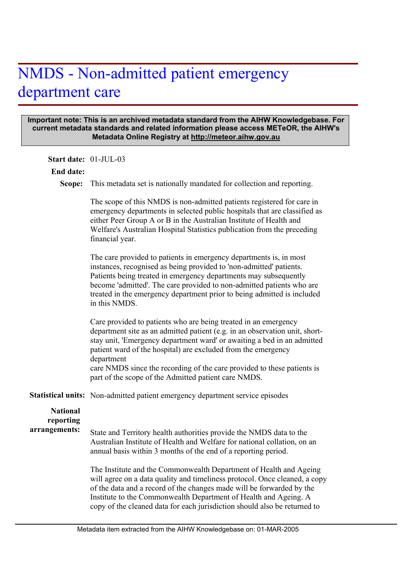# NMDS - Non-admitted patient emergency department care

#### **Important note: This is an archived metadata standard from the AIHW Knowledgebase. For current metadata standards and related information please access METeOR, the AIHW's Metadata Online Registry at http://meteor.aihw.gov.au**

**Start date:** 01-JUL-03

#### **End date:**

Scope: This metadata set is nationally mandated for collection and reporting.

The scope of this NMDS is non-admitted patients registered for care in emergency departments in selected public hospitals that are classified as either Peer Group A or B in the Australian Institute of Health and Welfare's Australian Hospital Statistics publication from the preceding financial year.

The care provided to patients in emergency departments is, in most instances, recognised as being provided to 'non-admitted' patients. Patients being treated in emergency departments may subsequently become 'admitted'. The care provided to non-admitted patients who are treated in the emergency department prior to being admitted is included in this NMDS.

Care provided to patients who are being treated in an emergency department site as an admitted patient (e.g. in an observation unit, shortstay unit, 'Emergency department ward' or awaiting a bed in an admitted patient ward of the hospital) are excluded from the emergency department care NMDS since the recording of the care provided to these patients is part of the scope of the Admitted patient care NMDS.

Statistical units: Non-admitted patient emergency department service episodes

| <b>National</b> | State and Territory health authorities provide the NMDS data to the                                                                                                                                                                                                                                                                                                        |
|-----------------|----------------------------------------------------------------------------------------------------------------------------------------------------------------------------------------------------------------------------------------------------------------------------------------------------------------------------------------------------------------------------|
| reporting       | Australian Institute of Health and Welfare for national collation, on an                                                                                                                                                                                                                                                                                                   |
| arrangements:   | annual basis within 3 months of the end of a reporting period.                                                                                                                                                                                                                                                                                                             |
|                 | The Institute and the Commonwealth Department of Health and Ageing<br>will agree on a data quality and timeliness protocol. Once cleaned, a copy<br>of the data and a record of the changes made will be forwarded by the<br>Institute to the Commonwealth Department of Health and Ageing. A<br>copy of the cleaned data for each jurisdiction should also be returned to |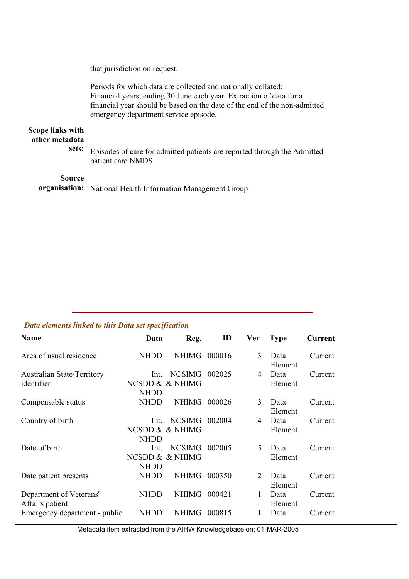that jurisdiction on request.

Periods for which data are collected and nationally collated: Financial years, ending 30 June each year. Extraction of data for a financial year should be based on the date of the end of the non-admitted emergency department service episode.

#### **Scope links with other metadata sets:**

Episodes of care for admitted patients are reported through the Admitted patient care NMDS

### **Source**

organisation: National Health Information Management Group

## *Data elements linked to this Data set specification*

| Name                                            | Data                                   | Reg.                             | ID     | Ver | <b>Type</b>     | Current |
|-------------------------------------------------|----------------------------------------|----------------------------------|--------|-----|-----------------|---------|
| Area of usual residence                         | <b>NHDD</b>                            | <b>NHIMG</b>                     | 000016 | 3   | Data<br>Element | Current |
| <b>Australian State/Territory</b><br>identifier | Int.<br>NCSDD & & NHIMG<br><b>NHDD</b> | <b>NCSIMG</b>                    | 002025 | 4   | Data<br>Element | Current |
| Compensable status                              | <b>NHDD</b>                            | <b>NHIMG</b>                     | 000026 | 3   | Data<br>Element | Current |
| Country of birth                                | Int.<br><b>NHDD</b>                    | <b>NCSIMG</b><br>NCSDD & & NHIMG | 002004 | 4   | Data<br>Element | Current |
| Date of birth                                   | Int.<br><b>NHDD</b>                    | <b>NCSIMG</b><br>NCSDD & & NHIMG | 002005 | 5   | Data<br>Element | Current |
| Date patient presents                           | <b>NHDD</b>                            | <b>NHIMG</b>                     | 000350 | 2   | Data<br>Element | Current |
| Department of Veterans'<br>Affairs patient      | NHDD                                   | <b>NHIMG</b>                     | 000421 | 1   | Data<br>Element | Current |
| Emergency department - public                   | NHDD                                   | <b>NHIMG</b>                     | 000815 | 1   | Data            | Current |

Metadata item extracted from the AIHW Knowledgebase on: 01-MAR-2005